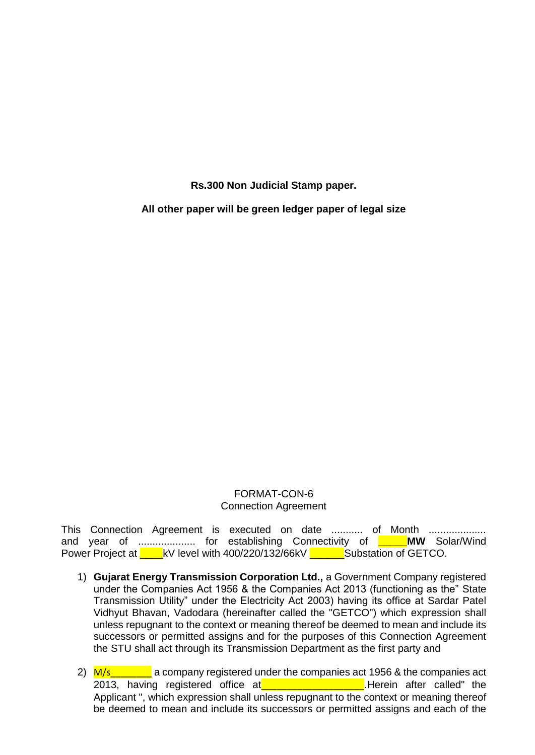**Rs.300 Non Judicial Stamp paper.** 

**All other paper will be green ledger paper of legal size** 

### FORMAT-CON-6 Connection Agreement

This Connection Agreement is executed on date ............ of Month ................... and year of ..................... for establishing Connectivity of **WW** Solar/Wind Power Project at <u>kV</u> level with 400/220/132/66kV Substation of GETCO.

- 1) **Gujarat Energy Transmission Corporation Ltd.,** a Government Company registered under the Companies Act 1956 & the Companies Act 2013 (functioning as the" State Transmission Utility" under the Electricity Act 2003) having its office at Sardar Patel Vidhyut Bhavan, Vadodara (hereinafter called the "GETCO") which expression shall unless repugnant to the context or meaning thereof be deemed to mean and include its successors or permitted assigns and for the purposes of this Connection Agreement the STU shall act through its Transmission Department as the first party and
- 2)  $M/s$  a company registered under the companies act 1956 & the companies act 2013, having registered office at **the set of the set of the set of the set of the set of the set of the set of the set of the set of the set of the set of the set of the set of the set of the set of the set of the set of** Applicant ", which expression shall unless repugnant to the context or meaning thereof be deemed to mean and include its successors or permitted assigns and each of the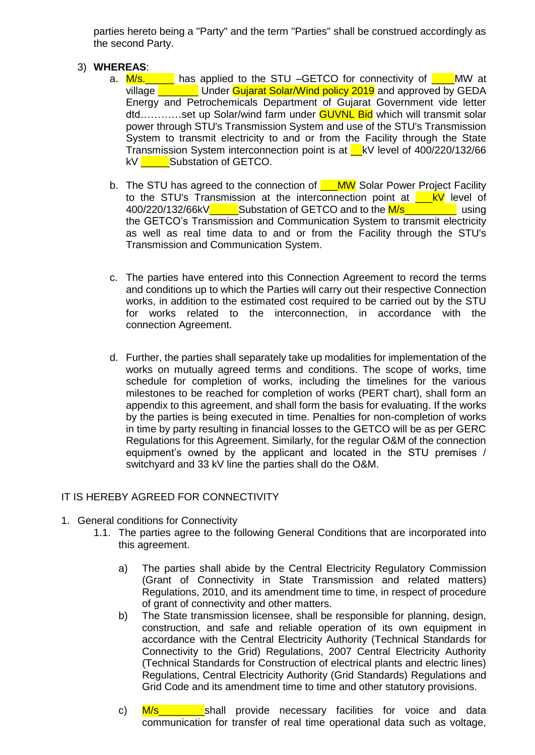parties hereto being a "Party" and the term "Parties" shall be construed accordingly as the second Party.

## 3) **WHEREAS**:

- a.  $M/s.$   $\Box$  has applied to the STU –GETCO for connectivity of  $\Box$ MW at village **willage** Under Gujarat Solar/Wind policy 2019 and approved by GEDA Energy and Petrochemicals Department of Gujarat Government vide letter dtd…………set up Solar/wind farm under GUVNL Bid which will transmit solar power through STU's Transmission System and use of the STU's Transmission System to transmit electricity to and or from the Facility through the State Transmission System interconnection point is at kV level of 400/220/132/66 kV Substation of GETCO.
- b. The STU has agreed to the connection of  $\blacksquare$  MW Solar Power Project Facility to the STU's Transmission at the interconnection point at  $\sqrt{\frac{kV}{m}}$  level of 400/220/132/66kV Substation of GETCO and to the M/s the GETCO's Transmission and Communication System to transmit electricity as well as real time data to and or from the Facility through the STU's Transmission and Communication System.
- c. The parties have entered into this Connection Agreement to record the terms and conditions up to which the Parties will carry out their respective Connection works, in addition to the estimated cost required to be carried out by the STU for works related to the interconnection, in accordance with the connection Agreement.
- d. Further, the parties shall separately take up modalities for implementation of the works on mutually agreed terms and conditions. The scope of works, time schedule for completion of works, including the timelines for the various milestones to be reached for completion of works (PERT chart), shall form an appendix to this agreement, and shall form the basis for evaluating. If the works by the parties is being executed in time. Penalties for non-completion of works in time by party resulting in financial losses to the GETCO will be as per GERC Regulations for this Agreement. Similarly, for the regular O&M of the connection equipment's owned by the applicant and located in the STU premises / switchyard and 33 kV line the parties shall do the O&M.

### IT IS HEREBY AGREED FOR CONNECTIVITY

- 1. General conditions for Connectivity
	- 1.1. The parties agree to the following General Conditions that are incorporated into this agreement.
		- a) The parties shall abide by the Central Electricity Regulatory Commission (Grant of Connectivity in State Transmission and related matters) Regulations, 2010, and its amendment time to time, in respect of procedure of grant of connectivity and other matters.
		- b) The State transmission licensee, shall be responsible for planning, design, construction, and safe and reliable operation of its own equipment in accordance with the Central Electricity Authority (Technical Standards for Connectivity to the Grid) Regulations, 2007 Central Electricity Authority (Technical Standards for Construction of electrical plants and electric lines) Regulations, Central Electricity Authority (Grid Standards) Regulations and Grid Code and its amendment time to time and other statutory provisions.
		- c) M/s comeshall provide necessary facilities for voice and data communication for transfer of real time operational data such as voltage,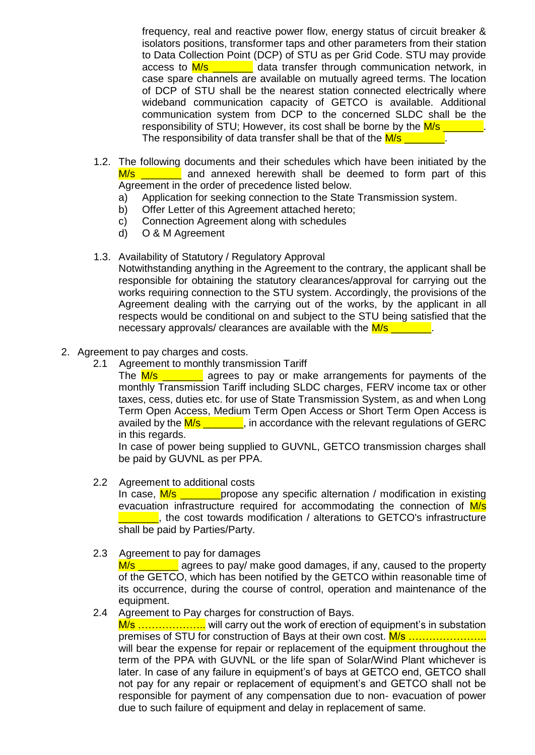frequency, real and reactive power flow, energy status of circuit breaker & isolators positions, transformer taps and other parameters from their station to Data Collection Point (DCP) of STU as per Grid Code. STU may provide access to M/s and data transfer through communication network, in case spare channels are available on mutually agreed terms. The location of DCP of STU shall be the nearest station connected electrically where wideband communication capacity of GETCO is available. Additional communication system from DCP to the concerned SLDC shall be the responsibility of STU; However, its cost shall be borne by the  $M/s$  \_\_\_\_\_\_\_. The responsibility of data transfer shall be that of the M/s

- 1.2. The following documents and their schedules which have been initiated by the M/s and annexed herewith shall be deemed to form part of this Agreement in the order of precedence listed below.
	- a) Application for seeking connection to the State Transmission system.
	- b) Offer Letter of this Agreement attached hereto;
	- c) Connection Agreement along with schedules
	- d) O & M Agreement
- 1.3. Availability of Statutory / Regulatory Approval

Notwithstanding anything in the Agreement to the contrary, the applicant shall be responsible for obtaining the statutory clearances/approval for carrying out the works requiring connection to the STU system. Accordingly, the provisions of the Agreement dealing with the carrying out of the works, by the applicant in all respects would be conditional on and subject to the STU being satisfied that the necessary approvals/ clearances are available with the M/s \_\_\_\_\_\_\_\_.

- 2. Agreement to pay charges and costs.
	- 2.1 Agreement to monthly transmission Tariff

The M/s \_\_\_\_\_\_\_ agrees to pay or make arrangements for payments of the monthly Transmission Tariff including SLDC charges, FERV income tax or other taxes, cess, duties etc. for use of State Transmission System, as and when Long Term Open Access, Medium Term Open Access or Short Term Open Access is availed by the  $M/s$  \_\_\_\_\_\_, in accordance with the relevant regulations of GERC in this regards.

In case of power being supplied to GUVNL, GETCO transmission charges shall be paid by GUVNL as per PPA.

2.2 Agreement to additional costs

In case,  $M/s$  \_\_\_\_\_\_\_\_\_ propose any specific alternation / modification in existing evacuation infrastructure required for accommodating the connection of M/s **LECCL**, the cost towards modification / alterations to GETCO's infrastructure shall be paid by Parties/Party.

2.3 Agreement to pay for damages

M/s agrees to pay/ make good damages, if any, caused to the property of the GETCO, which has been notified by the GETCO within reasonable time of its occurrence, during the course of control, operation and maintenance of the equipment.

2.4 Agreement to Pay charges for construction of Bays.

M/s ……………….. will carry out the work of erection of equipment's in substation premises of STU for construction of Bays at their own cost. M/s ………………….. will bear the expense for repair or replacement of the equipment throughout the term of the PPA with GUVNL or the life span of Solar/Wind Plant whichever is later. In case of any failure in equipment's of bays at GETCO end, GETCO shall not pay for any repair or replacement of equipment's and GETCO shall not be responsible for payment of any compensation due to non- evacuation of power due to such failure of equipment and delay in replacement of same.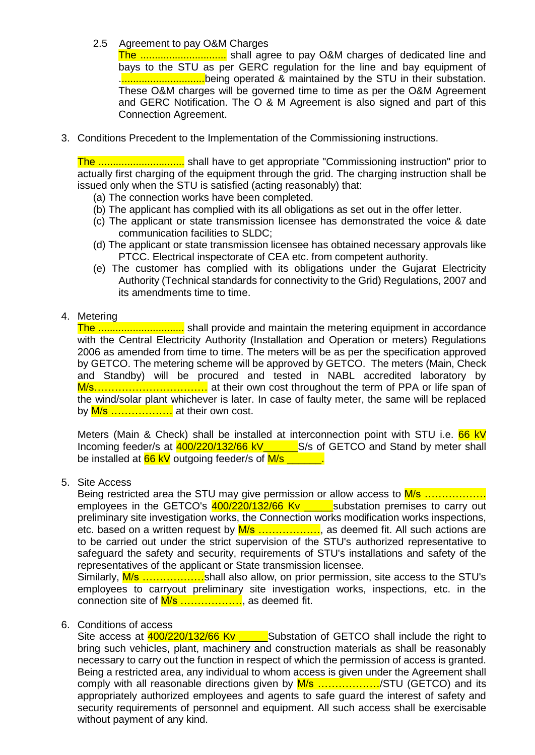2.5 Agreement to pay O&M Charges

The .............................. shall agree to pay O&M charges of dedicated line and bays to the STU as per GERC regulation for the line and bay equipment of ...............................being operated & maintained by the STU in their substation. These O&M charges will be governed time to time as per the O&M Agreement and GERC Notification. The O & M Agreement is also signed and part of this Connection Agreement.

3. Conditions Precedent to the Implementation of the Commissioning instructions.

The .............................. shall have to get appropriate "Commissioning instruction" prior to actually first charging of the equipment through the grid. The charging instruction shall be issued only when the STU is satisfied (acting reasonably) that:

- (a) The connection works have been completed.
- (b) The applicant has complied with its all obligations as set out in the offer letter.
- (c) The applicant or state transmission licensee has demonstrated the voice & date communication facilities to SLDC;
- (d) The applicant or state transmission licensee has obtained necessary approvals like PTCC. Electrical inspectorate of CEA etc. from competent authority.
- (e) The customer has complied with its obligations under the Gujarat Electricity Authority (Technical standards for connectivity to the Grid) Regulations, 2007 and its amendments time to time.

# 4. Metering

The .............................. shall provide and maintain the metering equipment in accordance with the Central Electricity Authority (Installation and Operation or meters) Regulations 2006 as amended from time to time. The meters will be as per the specification approved by GETCO. The metering scheme will be approved by GETCO. The meters (Main, Check and Standby) will be procured and tested in NABL accredited laboratory by M/s…………………………… at their own cost throughout the term of PPA or life span of the wind/solar plant whichever is later. In case of faulty meter, the same will be replaced by  $M/s$  .................... at their own cost.

Meters (Main & Check) shall be installed at interconnection point with STU i.e. 66 kV Incoming feeder/s at  $\frac{400}{220}{132}{66}$  kV S/s of GETCO and Stand by meter shall be installed at  $66$  kV outgoing feeder/s of  $M/s$ 

5. Site Access

Being restricted area the STU may give permission or allow access to M/s .................. employees in the GETCO's 400/220/132/66 Ky substation premises to carry out preliminary site investigation works, the Connection works modification works inspections, etc. based on a written request by  $M/s$  ...................., as deemed fit. All such actions are to be carried out under the strict supervision of the STU's authorized representative to safeguard the safety and security, requirements of STU's installations and safety of the representatives of the applicant or State transmission licensee.

Similarly, M/s ....................shall also allow, on prior permission, site access to the STU's employees to carryout preliminary site investigation works, inspections, etc. in the connection site of M/s ………………, as deemed fit.

#### 6. Conditions of access

Site access at  $\frac{400}{220}{132}{66}$  Kv Substation of GETCO shall include the right to bring such vehicles, plant, machinery and construction materials as shall be reasonably necessary to carry out the function in respect of which the permission of access is granted. Being a restricted area, any individual to whom access is given under the Agreement shall comply with all reasonable directions given by **M/s** ...................../STU (GETCO) and its appropriately authorized employees and agents to safe guard the interest of safety and security requirements of personnel and equipment. All such access shall be exercisable without payment of any kind.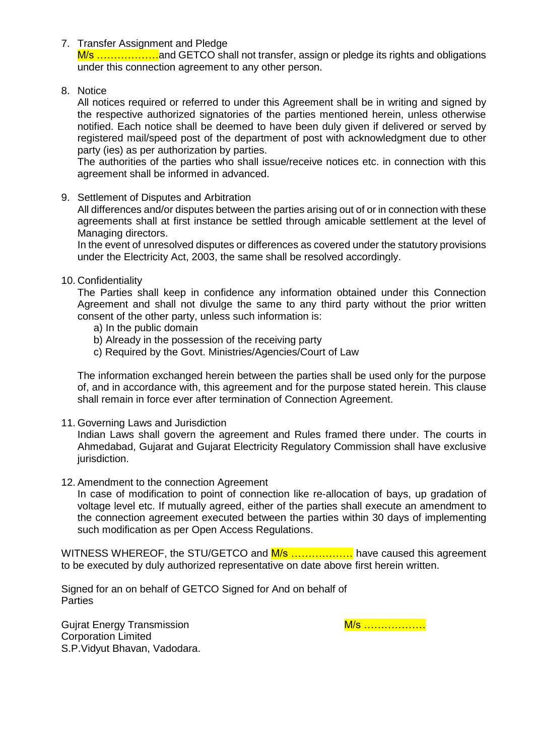7. Transfer Assignment and Pledge

M/s ………………and GETCO shall not transfer, assign or pledge its rights and obligations under this connection agreement to any other person.

8. Notice

All notices required or referred to under this Agreement shall be in writing and signed by the respective authorized signatories of the parties mentioned herein, unless otherwise notified. Each notice shall be deemed to have been duly given if delivered or served by registered mail/speed post of the department of post with acknowledgment due to other party (ies) as per authorization by parties.

The authorities of the parties who shall issue/receive notices etc. in connection with this agreement shall be informed in advanced.

9. Settlement of Disputes and Arbitration

All differences and/or disputes between the parties arising out of or in connection with these agreements shall at first instance be settled through amicable settlement at the level of Managing directors.

In the event of unresolved disputes or differences as covered under the statutory provisions under the Electricity Act, 2003, the same shall be resolved accordingly.

10. Confidentiality

The Parties shall keep in confidence any information obtained under this Connection Agreement and shall not divulge the same to any third party without the prior written consent of the other party, unless such information is:

- a) In the public domain
- b) Already in the possession of the receiving party
- c) Required by the Govt. Ministries/Agencies/Court of Law

The information exchanged herein between the parties shall be used only for the purpose of, and in accordance with, this agreement and for the purpose stated herein. This clause shall remain in force ever after termination of Connection Agreement.

11. Governing Laws and Jurisdiction

Indian Laws shall govern the agreement and Rules framed there under. The courts in Ahmedabad, Gujarat and Gujarat Electricity Regulatory Commission shall have exclusive jurisdiction.

12. Amendment to the connection Agreement

In case of modification to point of connection like re-allocation of bays, up gradation of voltage level etc. If mutually agreed, either of the parties shall execute an amendment to the connection agreement executed between the parties within 30 days of implementing such modification as per Open Access Regulations.

WITNESS WHEREOF, the STU/GETCO and M/s .................... have caused this agreement to be executed by duly authorized representative on date above first herein written.

Signed for an on behalf of GETCO Signed for And on behalf of **Parties** 

Gujrat Energy Transmission M/s ……………… Corporation Limited S.P.Vidyut Bhavan, Vadodara.